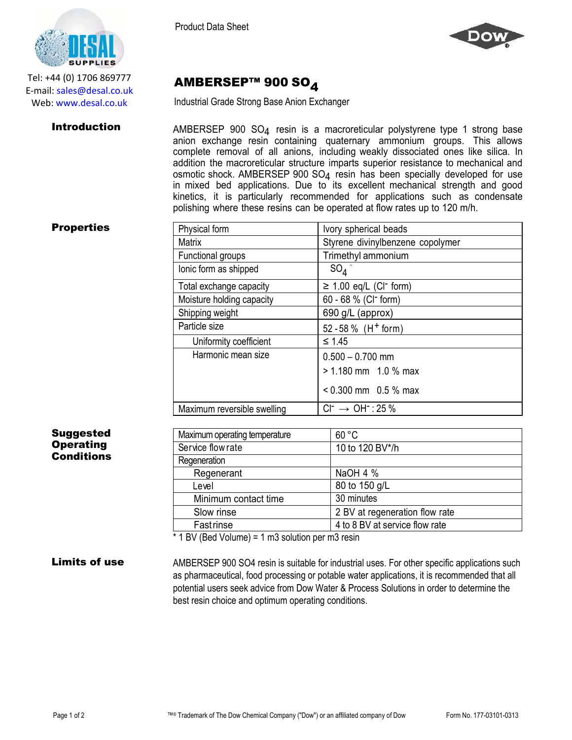AMBERSEP™ 900 SO4

Industrial Grade Strong Base Anion Exchanger



Tel: +44 (0) 1706 869777 E‐mail: sales@desal.co.uk Web: www.desal.co.uk

Introduction **AMBERSEP 900 SO<sub>4</sub>** resin is a macroreticular polystyrene type 1 strong base anion exchange resin containing quaternary ammonium groups. This allows complete removal of all anions, including weakly dissociated ones like silica. In addition the macroreticular structure imparts superior resistance to mechanical and osmotic shock. AMBERSEP 900 SO<sub>4</sub> resin has been specially developed for use in mixed bed applications. Due to its excellent mechanical strength and good kinetics, it is particularly recommended for applications such as condensate polishing where these resins can be operated at flow rates up to 120 m/h.

## **Properties**

| Physical form               | Ivory spherical beads                   |  |
|-----------------------------|-----------------------------------------|--|
| Matrix                      | Styrene divinylbenzene copolymer        |  |
| Functional groups           | Trimethyl ammonium                      |  |
| lonic form as shipped       | $SO_4$                                  |  |
| Total exchange capacity     | $\geq$ 1.00 eq/L (CI <sup>-</sup> form) |  |
| Moisture holding capacity   | 60 - 68 % (CI <sup>-</sup> form)        |  |
| Shipping weight             | 690 g/L (approx)                        |  |
| Particle size               | 52 - 58 % $(H+$ form)                   |  |
| Uniformity coefficient      | $\leq 1.45$                             |  |
| Harmonic mean size          | $0.500 - 0.700$ mm                      |  |
|                             | $> 1.180$ mm 1.0 % max                  |  |
|                             | $< 0.300$ mm 0.5 % max                  |  |
| Maximum reversible swelling | $Cl^- \rightarrow OH^-$ : 25 %          |  |

| <b>Suggested</b>     | Maximum operating temperature                    | 60 °C                                                                                        |
|----------------------|--------------------------------------------------|----------------------------------------------------------------------------------------------|
| <b>Operating</b>     | Service flow rate                                | 10 to 120 BV*/h                                                                              |
| <b>Conditions</b>    | Regeneration                                     |                                                                                              |
|                      | Regenerant                                       | NaOH 4 %                                                                                     |
|                      | Level                                            | 80 to 150 g/L                                                                                |
|                      | Minimum contact time                             | 30 minutes                                                                                   |
|                      | Slow rinse                                       | 2 BV at regeneration flow rate                                                               |
|                      | Fastrinse                                        | 4 to 8 BV at service flow rate                                                               |
|                      | * 1 BV (Bed Volume) = 1 m3 solution per m3 resin |                                                                                              |
| <b>Limits of use</b> |                                                  | AMBERSEP 900 SO4 resin is suitable for industrial uses. For other specific applications such |

Limits of use AMBERSEP 900 SO4 resin is suitable for industrial uses. For other specific applications such as pharmaceutical, food processing or potable water applications, it is recommended that all potential users seek advice from Dow Water & Process Solutions in order to determine the best resin choice and optimum operating conditions.

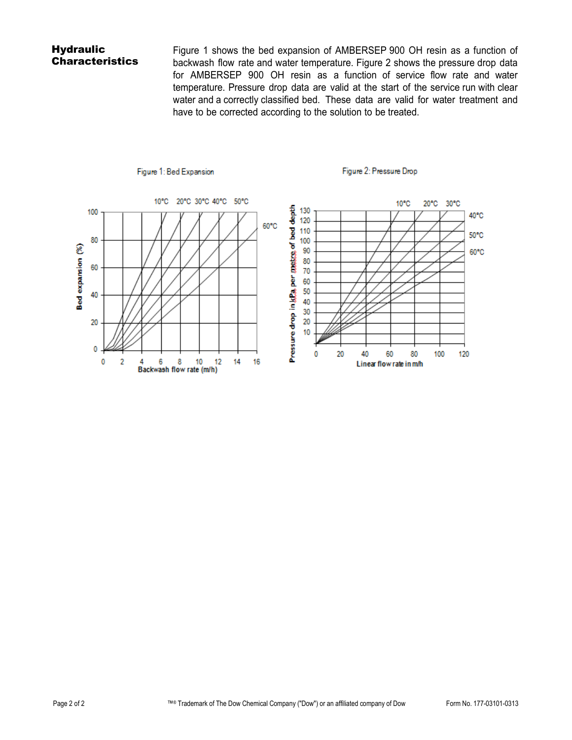# **Hydraulic Characteristics**

Figure 1 shows the bed expansion of AMBERSEP 900 OH resin as a function of backwash flow rate and water temperature. Figure 2 shows the pressure drop data for AMBERSEP 900 OH resin as a function of service flow rate and water temperature. Pressure drop data are valid at the start of the service run with clear water and a correctly classified bed. These data are valid for water treatment and have to be corrected according to the solution to be treated.